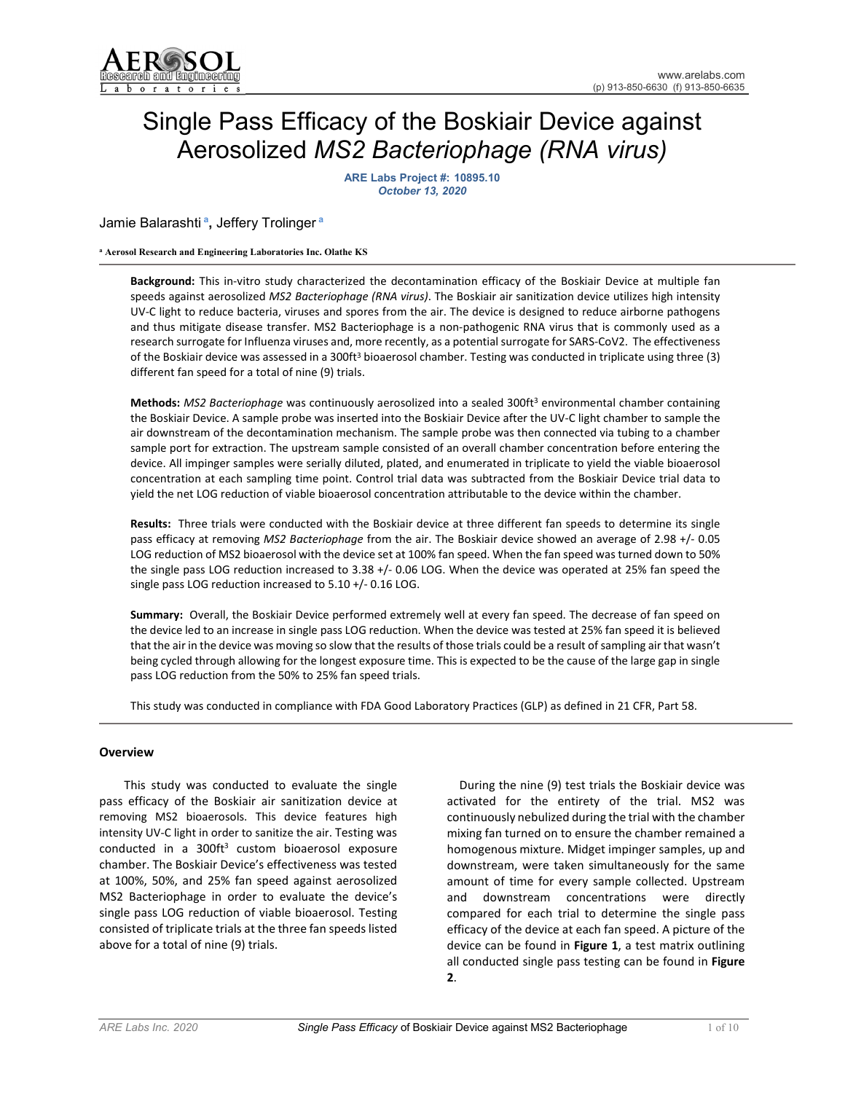

## Single Pass Efficacy of the Boskiair Device against Aerosolized *MS2 Bacteriophage (RNA virus)*

**ARE Labs Project #: 10895.10**  *October 13, 2020*

#### Jamie Balarashti **<sup>a</sup> ,** Jeffery Trolinger **<sup>a</sup>**

#### **a Aerosol Research and Engineering Laboratories Inc. Olathe KS**

**Background:** This in-vitro study characterized the decontamination efficacy of the Boskiair Device at multiple fan speeds against aerosolized *MS2 Bacteriophage (RNA virus)*. The Boskiair air sanitization device utilizes high intensity UV-C light to reduce bacteria, viruses and spores from the air. The device is designed to reduce airborne pathogens and thus mitigate disease transfer. MS2 Bacteriophage is a non-pathogenic RNA virus that is commonly used as a research surrogate for Influenza viruses and, more recently, as a potential surrogate for SARS-CoV2. The effectiveness of the Boskiair device was assessed in a 300ft<sup>3</sup> bioaerosol chamber. Testing was conducted in triplicate using three (3) different fan speed for a total of nine (9) trials.

**Methods:** *MS2 Bacteriophage* was continuously aerosolized into a sealed 300ft<sup>3</sup> environmental chamber containing the Boskiair Device. A sample probe was inserted into the Boskiair Device after the UV-C light chamber to sample the air downstream of the decontamination mechanism. The sample probe was then connected via tubing to a chamber sample port for extraction. The upstream sample consisted of an overall chamber concentration before entering the device. All impinger samples were serially diluted, plated, and enumerated in triplicate to yield the viable bioaerosol concentration at each sampling time point. Control trial data was subtracted from the Boskiair Device trial data to yield the net LOG reduction of viable bioaerosol concentration attributable to the device within the chamber.

**Results:** Three trials were conducted with the Boskiair device at three different fan speeds to determine its single pass efficacy at removing *MS2 Bacteriophage* from the air. The Boskiair device showed an average of 2.98 +/- 0.05 LOG reduction of MS2 bioaerosol with the device set at 100% fan speed. When the fan speed was turned down to 50% the single pass LOG reduction increased to 3.38 +/- 0.06 LOG. When the device was operated at 25% fan speed the single pass LOG reduction increased to 5.10 +/- 0.16 LOG.

**Summary:** Overall, the Boskiair Device performed extremely well at every fan speed. The decrease of fan speed on the device led to an increase in single pass LOG reduction. When the device was tested at 25% fan speed it is believed that the air in the device was moving so slow that the results of those trials could be a result of sampling air that wasn't being cycled through allowing for the longest exposure time. This is expected to be the cause of the large gap in single pass LOG reduction from the 50% to 25% fan speed trials.

This study was conducted in compliance with FDA Good Laboratory Practices (GLP) as defined in 21 CFR, Part 58.

#### **Overview**

This study was conducted to evaluate the single pass efficacy of the Boskiair air sanitization device at removing MS2 bioaerosols. This device features high intensity UV-C light in order to sanitize the air. Testing was conducted in a 300ft<sup>3</sup> custom bioaerosol exposure chamber. The Boskiair Device's effectiveness was tested at 100%, 50%, and 25% fan speed against aerosolized MS2 Bacteriophage in order to evaluate the device's single pass LOG reduction of viable bioaerosol. Testing consisted of triplicate trials at the three fan speeds listed above for a total of nine (9) trials.

During the nine (9) test trials the Boskiair device was activated for the entirety of the trial. MS2 was continuously nebulized during the trial with the chamber mixing fan turned on to ensure the chamber remained a homogenous mixture. Midget impinger samples, up and downstream, were taken simultaneously for the same amount of time for every sample collected. Upstream and downstream concentrations were directly compared for each trial to determine the single pass efficacy of the device at each fan speed. A picture of the device can be found in **Figure 1**, a test matrix outlining all conducted single pass testing can be found in **Figure 2**.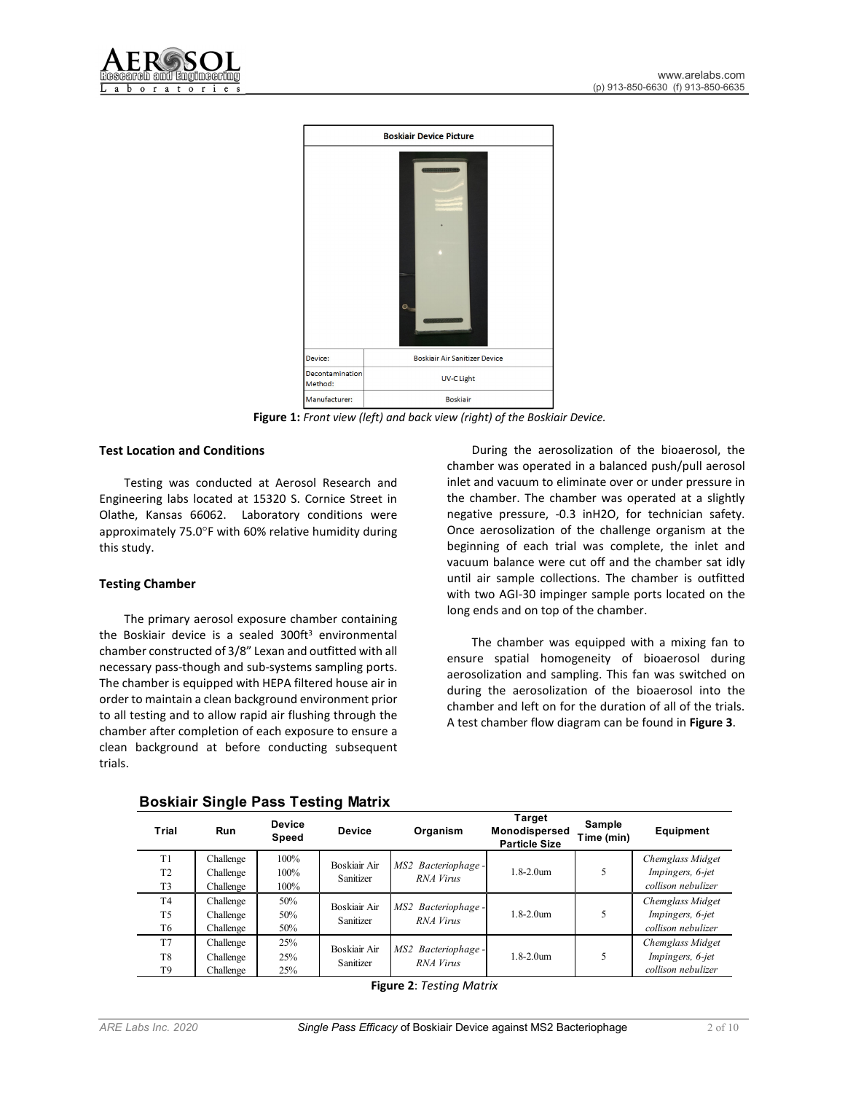



 **Figure 1:** *Front view (left) and back view (right) of the Boskiair Device.*

#### **Test Location and Conditions**

Testing was conducted at Aerosol Research and Engineering labs located at 15320 S. Cornice Street in Olathe, Kansas 66062. Laboratory conditions were approximately 75.0°F with 60% relative humidity during this study.

#### **Testing Chamber**

The primary aerosol exposure chamber containing the Boskiair device is a sealed 300ft<sup>3</sup> environmental chamber constructed of 3/8" Lexan and outfitted with all necessary pass-though and sub-systems sampling ports. The chamber is equipped with HEPA filtered house air in order to maintain a clean background environment prior to all testing and to allow rapid air flushing through the chamber after completion of each exposure to ensure a clean background at before conducting subsequent trials.

chamber was operated in a balanced push/pull aerosol inlet and vacuum to eliminate over or under pressure in the chamber. The chamber was operated at a slightly negative pressure, -0.3 inH2O, for technician safety. Once aerosolization of the challenge organism at the beginning of each trial was complete, the inlet and vacuum balance were cut off and the chamber sat idly until air sample collections. The chamber is outfitted with two AGI-30 impinger sample ports located on the long ends and on top of the chamber.

During the aerosolization of the bioaerosol, the

The chamber was equipped with a mixing fan to ensure spatial homogeneity of bioaerosol during aerosolization and sampling. This fan was switched on during the aerosolization of the bioaerosol into the chamber and left on for the duration of all of the trials. A test chamber flow diagram can be found in **Figure 3**.

| Trial          | Run       | <b>Device</b><br>Speed | <b>Device</b> | Organism                         | Target<br><b>Monodispersed</b><br><b>Particle Size</b> | Sample<br>Time (min) | Equipment          |
|----------------|-----------|------------------------|---------------|----------------------------------|--------------------------------------------------------|----------------------|--------------------|
| T1             | Challenge | $100\%$                | Boskiair Air  | MS2 Bacteriophage -<br>RNA Virus | $1.8 - 2.0$ um                                         |                      | Chemglass Midget   |
| T <sub>2</sub> | Challenge | $100\%$                | Sanitizer     |                                  |                                                        |                      | Impingers, 6-jet   |
| T3             | Challenge | $100\%$                |               |                                  |                                                        |                      | collison nebulizer |
| T <sub>4</sub> | Challenge | 50%                    | Boskiair Air  | MS2 Bacteriophage -<br>RNA Virus | $1.8 - 2.0$ um                                         |                      | Chemglass Midget   |
| T5             | Challenge | 50%                    | Sanitizer     |                                  |                                                        |                      | Impingers, 6-jet   |
| T6             | Challenge | 50%                    |               |                                  |                                                        |                      | collison nebulizer |
| T7             | Challenge | 25%                    | Boskiair Air  | MS2 Bacteriophage -<br>RNA Virus | $1.8 - 2.0$ um                                         |                      | Chemglass Midget   |
| T <sub>8</sub> | Challenge | 25%                    | Sanitizer     |                                  |                                                        |                      | Impingers, 6-jet   |
| T <sub>9</sub> | Challenge | 25%                    |               |                                  |                                                        |                      | collison nebulizer |

**Boskiair Single Pass Testing Matrix**

**Figure 2**: *Testing Matrix*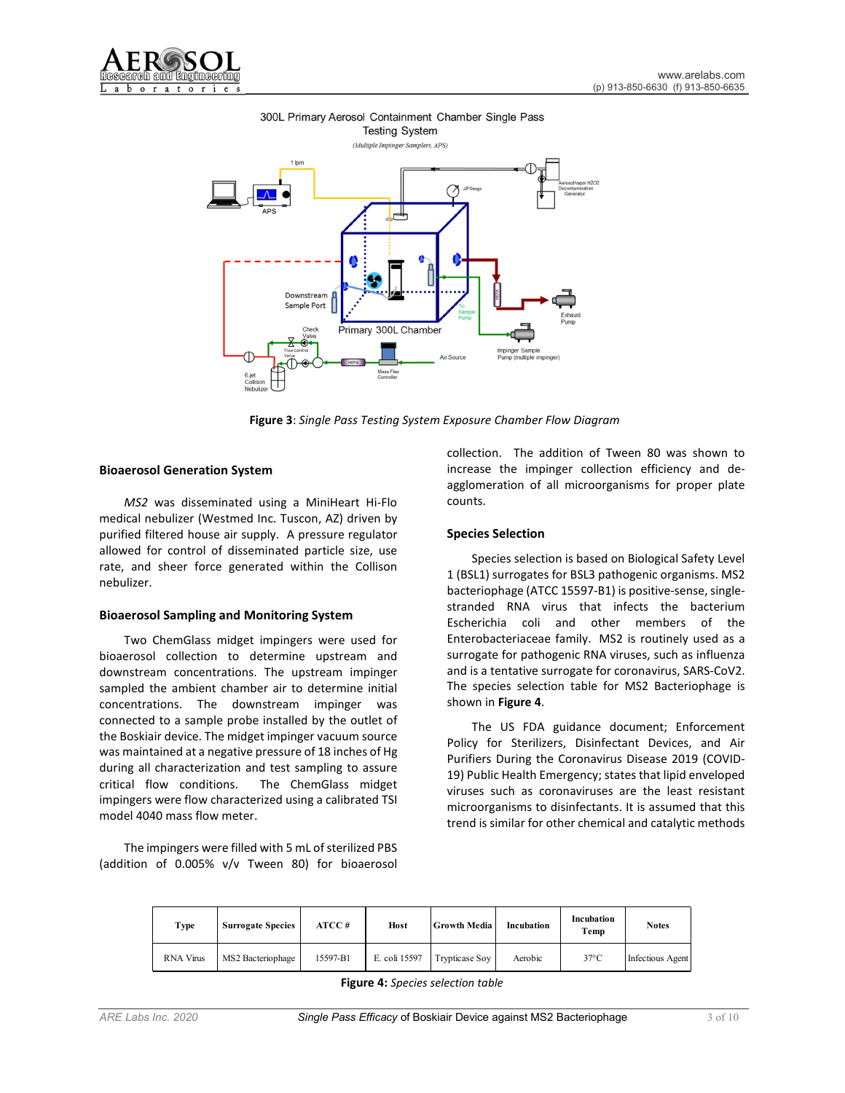



#### 300L Primary Aerosol Containment Chamber Single Pass **Testing System**

**Figure 3**: *Single Pass Testing System Exposure Chamber Flow Diagram*

#### **Bioaerosol Generation System**

*MS2* was disseminated using a MiniHeart Hi-Flo medical nebulizer (Westmed Inc. Tuscon, AZ) driven by purified filtered house air supply. A pressure regulator allowed for control of disseminated particle size, use rate, and sheer force generated within the Collison nebulizer.

#### **Bioaerosol Sampling and Monitoring System**

Two ChemGlass midget impingers were used for bioaerosol collection to determine upstream and downstream concentrations. The upstream impinger sampled the ambient chamber air to determine initial concentrations. The downstream impinger was connected to a sample probe installed by the outlet of the Boskiair device. The midget impinger vacuum source was maintained at a negative pressure of 18 inches of Hg during all characterization and test sampling to assure critical flow conditions. The ChemGlass midget impingers were flow characterized using a calibrated TSI model 4040 mass flow meter.

The impingers were filled with 5 mL of sterilized PBS (addition of 0.005% v/v Tween 80) for bioaerosol collection. The addition of Tween 80 was shown to increase the impinger collection efficiency and deagglomeration of all microorganisms for proper plate counts.

#### **Species Selection**

Species selection is based on Biological Safety Level 1 (BSL1) surrogates for BSL3 pathogenic organisms. MS2 bacteriophage (ATCC 15597-B1) is positive-sense, singlestranded RNA virus that infects the bacterium Escherichia coli and other members of the Enterobacteriaceae family. MS2 is routinely used as a surrogate for pathogenic RNA viruses, such as influenza and is a tentative surrogate for coronavirus, SARS-CoV2. The species selection table for MS2 Bacteriophage is shown in **Figure 4**.

The US FDA guidance document; Enforcement Policy for Sterilizers, Disinfectant Devices, and Air Purifiers During the Coronavirus Disease 2019 (COVID-19) Public Health Emergency; states that lipid enveloped viruses such as coronaviruses are the least resistant microorganisms to disinfectants. It is assumed that this trend is similar for other chemical and catalytic methods

| <b>Type</b>      | <b>Surrogate Species</b> | ATCC #   | Host          | <b>Growth Media</b> | Incubation | Incubation<br>Temp | <b>Notes</b>            |
|------------------|--------------------------|----------|---------------|---------------------|------------|--------------------|-------------------------|
| <b>RNA Virus</b> | MS2 Bacteriophage        | 15597-B1 | E. coli 15597 | Trypticase Soy      | Aerobic    | $37^{\circ}$ C     | <b>Infectious Agent</b> |

**Figure 4:** *Species selection table*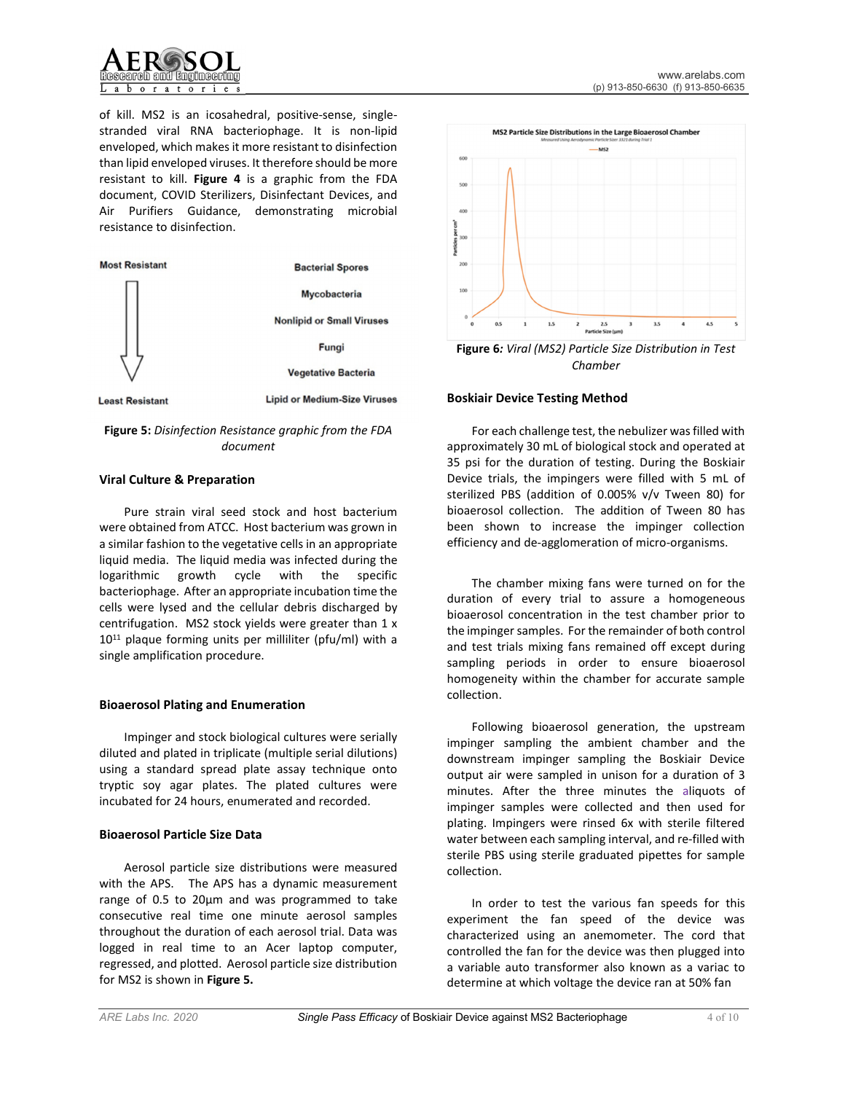

of kill. MS2 is an icosahedral, positive-sense, singlestranded viral RNA bacteriophage. It is non-lipid enveloped, which makes it more resistant to disinfection than lipid enveloped viruses. It therefore should be more resistant to kill. **Figure 4** is a graphic from the FDA document, COVID Sterilizers, Disinfectant Devices, and Air Purifiers Guidance, demonstrating microbial resistance to disinfection.



**Figure 5:** *Disinfection Resistance graphic from the FDA document* 

#### **Viral Culture & Preparation**

Pure strain viral seed stock and host bacterium were obtained from ATCC. Host bacterium was grown in a similar fashion to the vegetative cells in an appropriate liquid media. The liquid media was infected during the logarithmic growth cycle with the specific bacteriophage. After an appropriate incubation time the cells were lysed and the cellular debris discharged by centrifugation. MS2 stock yields were greater than 1 x  $10^{11}$  plaque forming units per milliliter (pfu/ml) with a single amplification procedure.

#### **Bioaerosol Plating and Enumeration**

Impinger and stock biological cultures were serially diluted and plated in triplicate (multiple serial dilutions) using a standard spread plate assay technique onto tryptic soy agar plates. The plated cultures were incubated for 24 hours, enumerated and recorded.

#### **Bioaerosol Particle Size Data**

Aerosol particle size distributions were measured with the APS. The APS has a dynamic measurement range of 0.5 to 20μm and was programmed to take consecutive real time one minute aerosol samples throughout the duration of each aerosol trial. Data was logged in real time to an Acer laptop computer, regressed, and plotted. Aerosol particle size distribution for MS2 is shown in **Figure 5.**



*Chamber* 

#### **Boskiair Device Testing Method**

For each challenge test, the nebulizer was filled with approximately 30 mL of biological stock and operated at 35 psi for the duration of testing. During the Boskiair Device trials, the impingers were filled with 5 mL of sterilized PBS (addition of 0.005% v/v Tween 80) for bioaerosol collection. The addition of Tween 80 has been shown to increase the impinger collection efficiency and de-agglomeration of micro-organisms.

The chamber mixing fans were turned on for the duration of every trial to assure a homogeneous bioaerosol concentration in the test chamber prior to the impinger samples. For the remainder of both control and test trials mixing fans remained off except during sampling periods in order to ensure bioaerosol homogeneity within the chamber for accurate sample collection.

Following bioaerosol generation, the upstream impinger sampling the ambient chamber and the downstream impinger sampling the Boskiair Device output air were sampled in unison for a duration of 3 minutes. After the three minutes the aliquots of impinger samples were collected and then used for plating. Impingers were rinsed 6x with sterile filtered water between each sampling interval, and re-filled with sterile PBS using sterile graduated pipettes for sample collection.

In order to test the various fan speeds for this experiment the fan speed of the device was characterized using an anemometer. The cord that controlled the fan for the device was then plugged into a variable auto transformer also known as a variac to determine at which voltage the device ran at 50% fan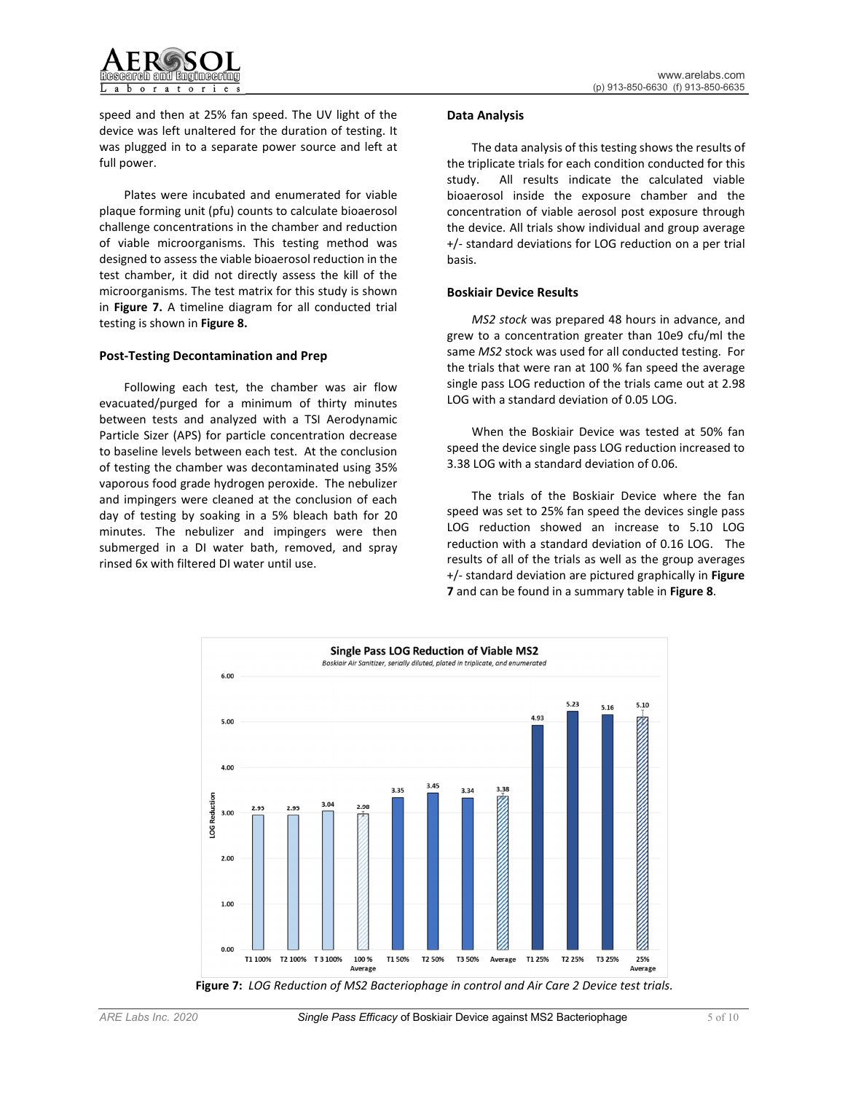

speed and then at 25% fan speed. The UV light of the device was left unaltered for the duration of testing. It was plugged in to a separate power source and left at full power.

Plates were incubated and enumerated for viable plaque forming unit (pfu) counts to calculate bioaerosol challenge concentrations in the chamber and reduction of viable microorganisms. This testing method was designed to assess the viable bioaerosol reduction in the test chamber, it did not directly assess the kill of the microorganisms. The test matrix for this study is shown in **Figure 7.** A timeline diagram for all conducted trial testing is shown in **Figure 8.** 

#### **Post-Testing Decontamination and Prep**

Following each test, the chamber was air flow evacuated/purged for a minimum of thirty minutes between tests and analyzed with a TSI Aerodynamic Particle Sizer (APS) for particle concentration decrease to baseline levels between each test. At the conclusion of testing the chamber was decontaminated using 35% vaporous food grade hydrogen peroxide. The nebulizer and impingers were cleaned at the conclusion of each day of testing by soaking in a 5% bleach bath for 20 minutes. The nebulizer and impingers were then submerged in a DI water bath, removed, and spray rinsed 6x with filtered DI water until use.

#### **Data Analysis**

The data analysis of this testing shows the results of the triplicate trials for each condition conducted for this study. All results indicate the calculated viable bioaerosol inside the exposure chamber and the concentration of viable aerosol post exposure through the device. All trials show individual and group average +/- standard deviations for LOG reduction on a per trial basis.

#### **Boskiair Device Results**

 *MS2 stock* was prepared 48 hours in advance, and grew to a concentration greater than 10e9 cfu/ml the same *MS2* stock was used for all conducted testing. For the trials that were ran at 100 % fan speed the average single pass LOG reduction of the trials came out at 2.98 LOG with a standard deviation of 0.05 LOG.

 When the Boskiair Device was tested at 50% fan speed the device single pass LOG reduction increased to 3.38 LOG with a standard deviation of 0.06.

 The trials of the Boskiair Device where the fan speed was set to 25% fan speed the devices single pass LOG reduction showed an increase to 5.10 LOG reduction with a standard deviation of 0.16 LOG. The results of all of the trials as well as the group averages +/- standard deviation are pictured graphically in **Figure 7** and can be found in a summary table in **Figure 8**.



**Figure 7:** *LOG Reduction of MS2 Bacteriophage in control and Air Care 2 Device test trials.*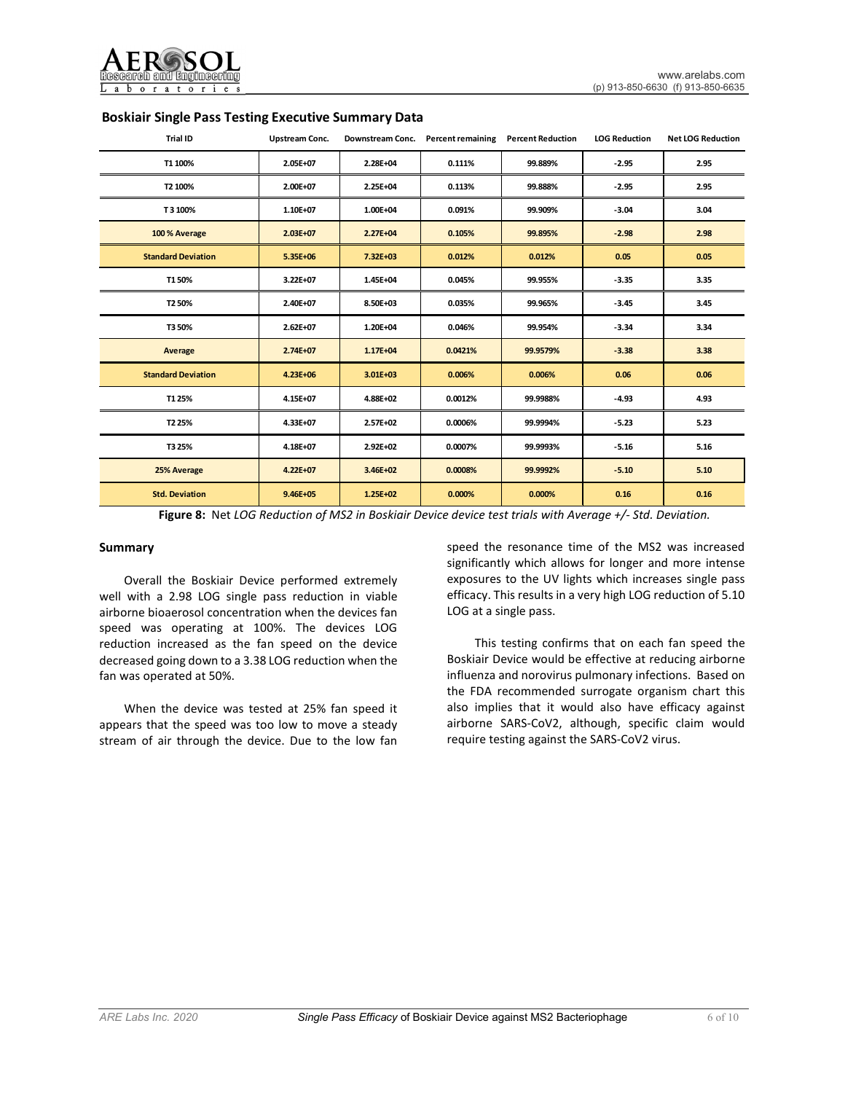

| <b>Trial ID</b>           | <b>Upstream Conc.</b> | <b>Downstream Conc.</b> | Percent remaining Percent Reduction |          | <b>LOG Reduction</b> | <b>Net LOG Reduction</b> |
|---------------------------|-----------------------|-------------------------|-------------------------------------|----------|----------------------|--------------------------|
| T1 100%                   | 2.05E+07              | 2.28E+04                | 0.111%                              | 99.889%  | $-2.95$              | 2.95                     |
| T2 100%                   | 2.00E+07              | 2.25E+04                | 0.113%                              | 99.888%  | $-2.95$              | 2.95                     |
| T3100%                    | 1.10E+07              | 1.00E+04                | 0.091%                              | 99.909%  | $-3.04$              | 3.04                     |
| 100% Average              | $2.03E + 07$          | $2.27E + 04$            | 0.105%                              | 99.895%  | $-2.98$              | 2.98                     |
| <b>Standard Deviation</b> | 5.35E+06              | 7.32E+03                | 0.012%                              | 0.012%   | 0.05                 | 0.05                     |
| T150%                     | 3.22E+07              | 1.45E+04                | 0.045%                              | 99.955%  | $-3.35$              | 3.35                     |
| T2 50%                    | 2.40E+07              | 8.50E+03                | 0.035%                              | 99.965%  | $-3.45$              | 3.45                     |
| T3 50%                    | $2.62E + 07$          | 1.20E+04                | 0.046%                              | 99.954%  | $-3.34$              | 3.34                     |
| Average                   | $2.74E + 07$          | $1.17E + 04$            | 0.0421%                             | 99.9579% | $-3.38$              | 3.38                     |
| <b>Standard Deviation</b> | $4.23E + 06$          | $3.01E + 03$            | 0.006%                              | 0.006%   | 0.06                 | 0.06                     |
| T1 25%                    | 4.15E+07              | 4.88E+02                | 0.0012%                             | 99.9988% | $-4.93$              | 4.93                     |
| T <sub>2</sub> 25%        | 4.33E+07              | 2.57E+02                | 0.0006%                             | 99.9994% | $-5.23$              | 5.23                     |
| T3 25%                    | 4.18E+07              | $2.92E + 02$            | 0.0007%                             | 99.9993% | $-5.16$              | 5.16                     |
| 25% Average               | $4.22E + 07$          | $3.46E + 02$            | 0.0008%                             | 99.9992% | $-5.10$              | 5.10                     |
| <b>Std. Deviation</b>     | $9.46E + 05$          | $1.25E + 02$            | 0.000%                              | 0.000%   | 0.16                 | 0.16                     |

#### **Boskiair Single Pass Testing Executive Summary Data**

**Figure 8:** Net *LOG Reduction of MS2 in Boskiair Device device test trials with Average +/- Std. Deviation.* 

#### **Summary**

Overall the Boskiair Device performed extremely well with a 2.98 LOG single pass reduction in viable airborne bioaerosol concentration when the devices fan speed was operating at 100%. The devices LOG reduction increased as the fan speed on the device decreased going down to a 3.38 LOG reduction when the fan was operated at 50%.

When the device was tested at 25% fan speed it appears that the speed was too low to move a steady stream of air through the device. Due to the low fan

speed the resonance time of the MS2 was increased significantly which allows for longer and more intense exposures to the UV lights which increases single pass efficacy. This results in a very high LOG reduction of 5.10 LOG at a single pass.

 This testing confirms that on each fan speed the Boskiair Device would be effective at reducing airborne influenza and norovirus pulmonary infections. Based on the FDA recommended surrogate organism chart this also implies that it would also have efficacy against airborne SARS-CoV2, although, specific claim would require testing against the SARS-CoV2 virus.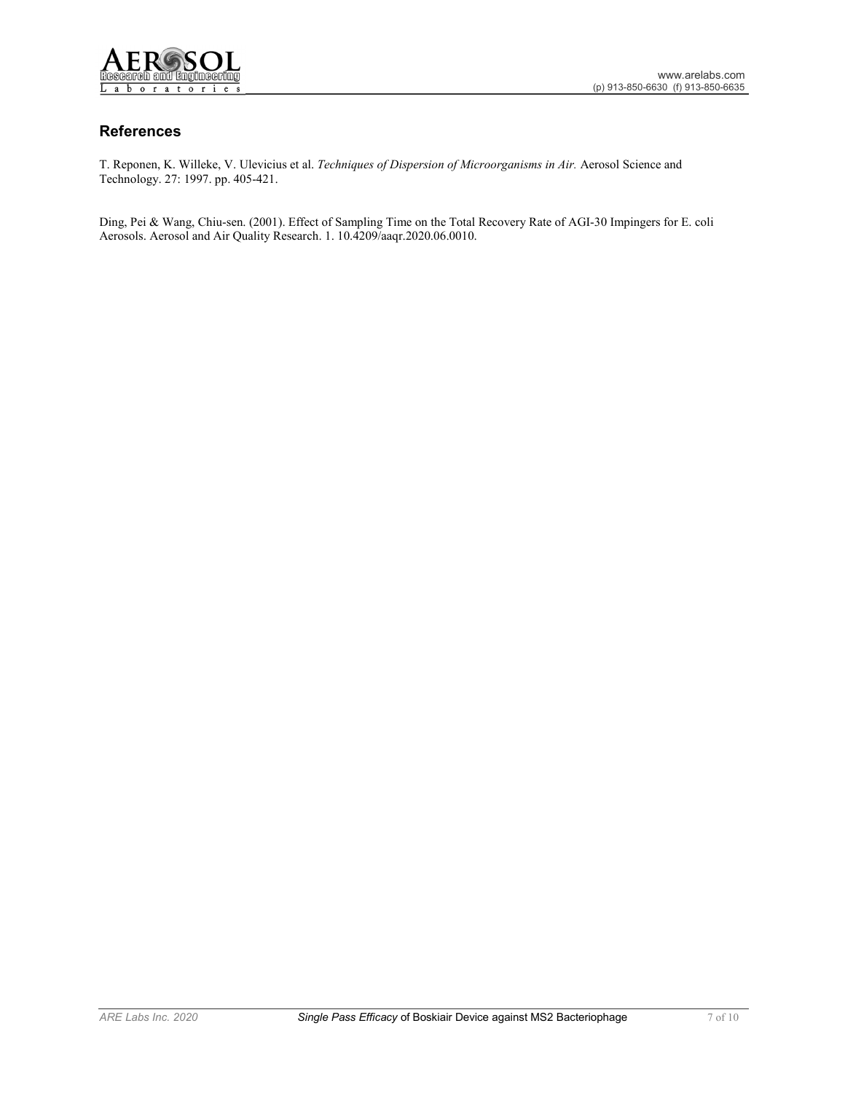

## **References**

T. Reponen, K. Willeke, V. Ulevicius et al. *Techniques of Dispersion of Microorganisms in Air.* Aerosol Science and Technology. 27: 1997. pp. 405-421.

Ding, Pei & Wang, Chiu-sen. (2001). Effect of Sampling Time on the Total Recovery Rate of AGI-30 Impingers for E. coli Aerosols. Aerosol and Air Quality Research. 1. 10.4209/aaqr.2020.06.0010.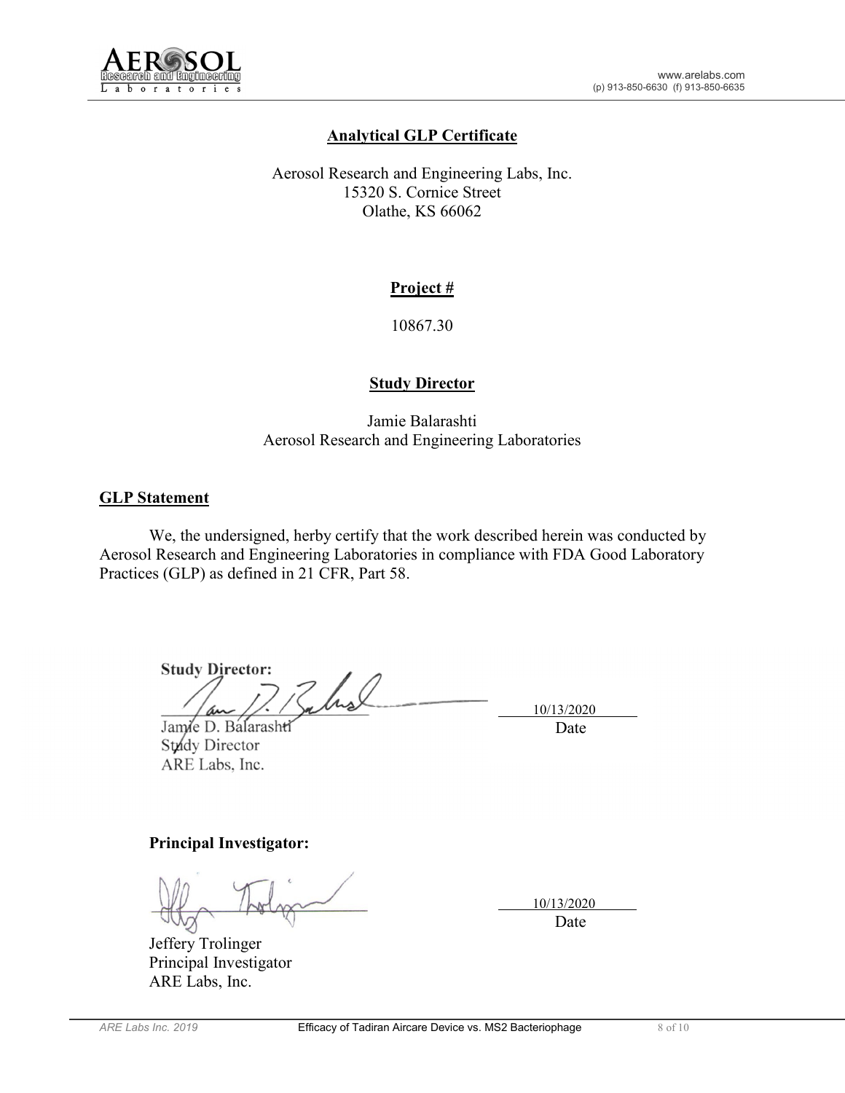

## **Analytical GLP Certificate**

Aerosol Research and Engineering Labs, Inc. 15320 S. Cornice Street Olathe, KS 66062

## **Project #**

10867.30

## **Study Director**

Jamie Balarashti Aerosol Research and Engineering Laboratories

## **GLP** Statement

We, the undersigned, herby certify that the work described herein was conducted by Aerosol Research and Engineering Laboratories in compliance with FDA Good Laboratory Practices (GLP) as defined in 21 CFR, Part 58.

**Study Director:**   $10/13/20$ 

Jamie D. Balarashti Study Director ARE Labs, Inc.

 10/13/2020 Date

## **Principal Investigator:**

Jeffery Trolinger Principal Investigator ARE Labs, Inc.

 10/13/2020 Date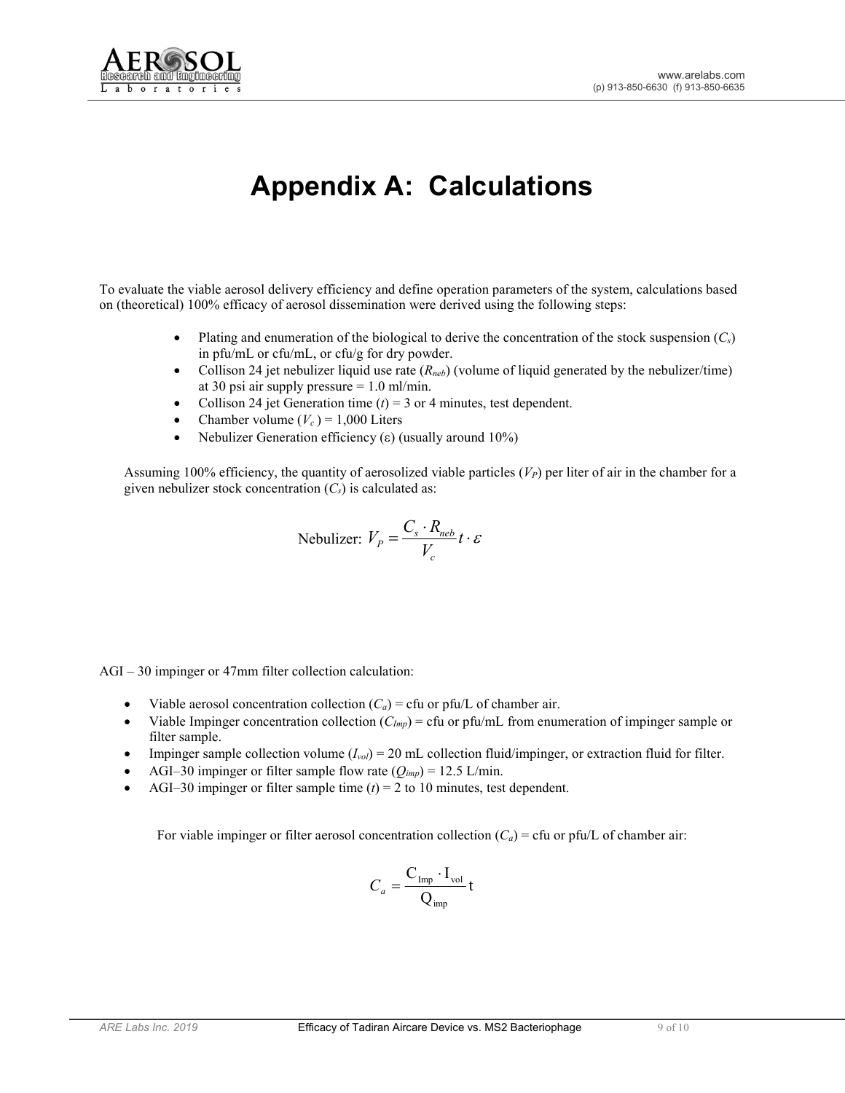

# **Appendix A: Calculations**

To evaluate the viable aerosol delivery efficiency and define operation parameters of the system, calculations based on (theoretical) 100% efficacy of aerosol dissemination were derived using the following steps:

- Plating and enumeration of the biological to derive the concentration of the stock suspension  $(C_s)$ in pfu/mL or cfu/mL, or cfu/g for dry powder.
- Collison 24 jet nebulizer liquid use rate  $(R_{neb})$  (volume of liquid generated by the nebulizer/time) at 30 psi air supply pressure = 1.0 ml/min.
- Collison 24 jet Generation time  $(t) = 3$  or 4 minutes, test dependent.
- Chamber volume  $(V_c) = 1,000$  Liters
- Nebulizer Generation efficiency  $(\varepsilon)$  (usually around 10%)

Assuming 100% efficiency, the quantity of aerosolized viable particles  $(V_P)$  per liter of air in the chamber for a given nebulizer stock concentration  $(C_s)$  is calculated as:

$$
\text{Nebulizer: } V_P = \frac{C_s \cdot R_{neb}}{V_c} t \cdot \varepsilon
$$

AGI – 30 impinger or 47mm filter collection calculation:

- Viable aerosol concentration collection  $(C_a)$  = cfu or pfu/L of chamber air.
- Viable Impinger concentration collection  $(C_{Imp})$  = cfu or pfu/mL from enumeration of impinger sample or filter sample.
- Impinger sample collection volume  $(I_{vol}) = 20$  mL collection fluid/impinger, or extraction fluid for filter.
- AGI–30 impinger or filter sample flow rate  $(Q_{imp}) = 12.5$  L/min.
- AGI–30 impinger or filter sample time  $(t) = 2$  to 10 minutes, test dependent.

For viable impinger or filter aerosol concentration collection  $(C_a)$  = cfu or pfu/L of chamber air:

$$
C_a = \frac{C_{\text{Imp}} \cdot I_{\text{vol}}}{Q_{\text{imp}}} t
$$